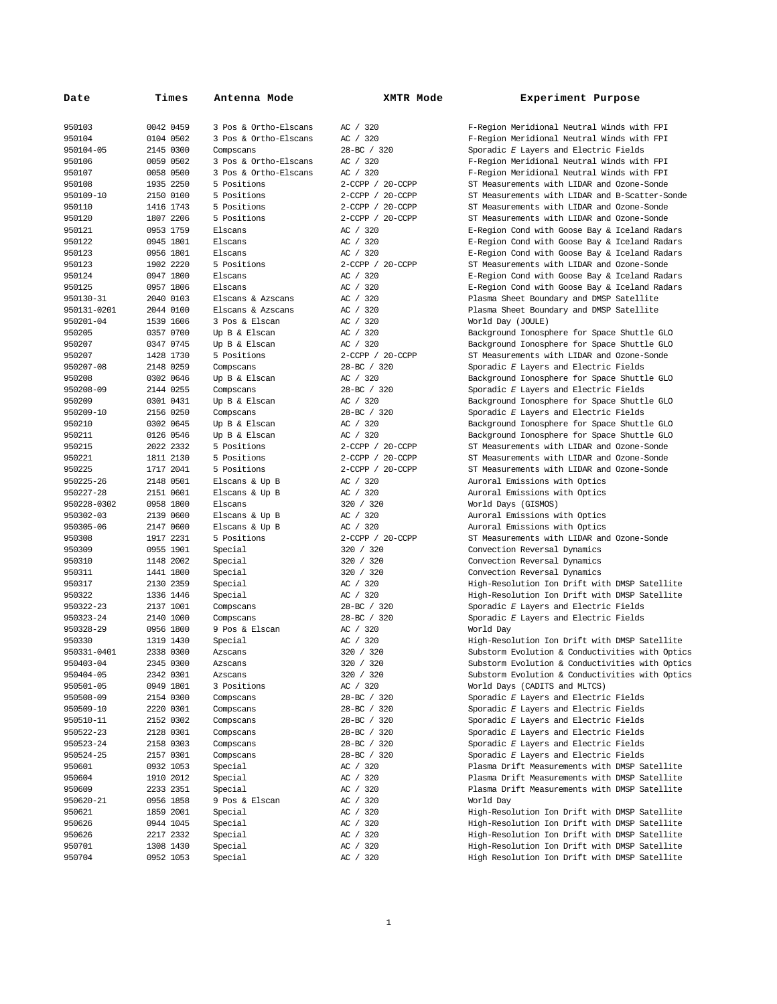| Date        | Times     | Antenna Mode          | XMTR Mode        | Experiment Purpose                              |
|-------------|-----------|-----------------------|------------------|-------------------------------------------------|
| 950103      | 0042 0459 | 3 Pos & Ortho-Elscans | AC / 320         | F-Region Meridional Neutral Winds with FPI      |
| 950104      | 0104 0502 | 3 Pos & Ortho-Elscans | AC / 320         | F-Region Meridional Neutral Winds with FPI      |
| 950104-05   | 2145 0300 | Compscans             | 28-BC / 320      | Sporadic E Layers and Electric Fields           |
| 950106      | 0059 0502 | 3 Pos & Ortho-Elscans | AC / 320         | F-Region Meridional Neutral Winds with FPI      |
| 950107      | 0058 0500 | 3 Pos & Ortho-Elscans | AC / 320         | F-Region Meridional Neutral Winds with FPI      |
| 950108      | 1935 2250 | 5 Positions           | 2-CCPP / 20-CCPP | ST Measurements with LIDAR and Ozone-Sonde      |
| 950109-10   | 2150 0100 | 5 Positions           | 2-CCPP / 20-CCPP | ST Measurements with LIDAR and B-Scatter-Sonde  |
| 950110      | 1416 1743 | 5 Positions           | 2-CCPP / 20-CCPP | ST Measurements with LIDAR and Ozone-Sonde      |
| 950120      | 1807 2206 | 5 Positions           | 2-CCPP / 20-CCPP | ST Measurements with LIDAR and Ozone-Sonde      |
| 950121      | 0953 1759 | Elscans               | AC / 320         | E-Region Cond with Goose Bay & Iceland Radars   |
| 950122      | 0945 1801 | Elscans               | AC / 320         | E-Region Cond with Goose Bay & Iceland Radars   |
| 950123      | 0956 1801 | <b>Elscans</b>        | AC / 320         | E-Region Cond with Goose Bay & Iceland Radars   |
| 950123      | 1902 2220 | 5 Positions           | 2-CCPP / 20-CCPP | ST Measurements with LIDAR and Ozone-Sonde      |
| 950124      | 0947 1800 | Elscans               | AC / 320         | E-Region Cond with Goose Bay & Iceland Radars   |
| 950125      | 0957 1806 | Elscans               | AC / 320         | E-Region Cond with Goose Bay & Iceland Radars   |
| 950130-31   | 2040 0103 | Elscans & Azscans     | AC / 320         | Plasma Sheet Boundary and DMSP Satellite        |
| 950131-0201 | 2044 0100 | Elscans & Azscans     | AC / 320         | Plasma Sheet Boundary and DMSP Satellite        |
| 950201-04   | 1539 1606 | 3 Pos & Elscan        | AC / 320         | World Day (JOULE)                               |
| 950205      | 0357 0700 | Up B & Elscan         | AC / 320         | Background Ionosphere for Space Shuttle GLO     |
| 950207      | 0347 0745 | Up B & Elscan         | AC / 320         | Background Ionosphere for Space Shuttle GLO     |
| 950207      | 1428 1730 | 5 Positions           | 2-CCPP / 20-CCPP | ST Measurements with LIDAR and Ozone-Sonde      |
| 950207-08   | 2148 0259 | Compscans             | 28-BC / 320      | Sporadic E Layers and Electric Fields           |
| 950208      | 0302 0646 | Up B & Elscan         | AC / 320         | Background Ionosphere for Space Shuttle GLO     |
| 950208-09   | 2144 0255 | Compscans             | 28-BC / 320      | Sporadic E Layers and Electric Fields           |
| 950209      | 0301 0431 | Up B & Elscan         | AC / 320         | Background Ionosphere for Space Shuttle GLO     |
| 950209-10   | 2156 0250 | Compscans             | 28-BC / 320      | Sporadic E Layers and Electric Fields           |
| 950210      | 0302 0645 | Up B & Elscan         | AC / 320         | Background Ionosphere for Space Shuttle GLO     |
| 950211      | 0126 0546 | Up B & Elscan         | AC / 320         | Background Ionosphere for Space Shuttle GLO     |
| 950215      | 2022 2332 | 5 Positions           | 2-CCPP / 20-CCPP | ST Measurements with LIDAR and Ozone-Sonde      |
| 950221      | 1811 2130 | 5 Positions           | 2-CCPP / 20-CCPP | ST Measurements with LIDAR and Ozone-Sonde      |
| 950225      | 1717 2041 | 5 Positions           |                  | ST Measurements with LIDAR and Ozone-Sonde      |
|             |           |                       | 2-CCPP / 20-CCPP |                                                 |
| 950225-26   | 2148 0501 | Elscans & Up B        | AC / 320         | Auroral Emissions with Optics                   |
| 950227-28   | 2151 0601 | Elscans & Up B        | AC / 320         | Auroral Emissions with Optics                   |
| 950228-0302 | 0958 1800 | Elscans               | 320 / 320        | World Days (GISMOS)                             |
| 950302-03   | 2139 0600 | Elscans & Up B        | AC / 320         | Auroral Emissions with Optics                   |
| 950305-06   | 2147 0600 | Elscans & Up B        | AC / 320         | Auroral Emissions with Optics                   |
| 950308      | 1917 2231 | 5 Positions           | 2-CCPP / 20-CCPP | ST Measurements with LIDAR and Ozone-Sonde      |
| 950309      | 0955 1901 | Special               | 320 / 320        | Convection Reversal Dynamics                    |
| 950310      | 1148 2002 | Special               | 320 / 320        | Convection Reversal Dynamics                    |
| 950311      | 1441 1800 | Special               | 320 / 320        | Convection Reversal Dynamics                    |
| 950317      | 2130 2359 | Special               | AC / 320         | High-Resolution Ion Drift with DMSP Satellite   |
| 950322      | 1336 1446 | Special               | AC / 320         | High-Resolution Ion Drift with DMSP Satellite   |
| 950322-23   | 2137 1001 | Compscans             | 28-BC / 320      | Sporadic E Layers and Electric Fields           |
| 950323-24   | 2140 1000 | Compscans             | 28-BC / 320      | Sporadic E Layers and Electric Fields           |
| 950328-29   | 0956 1800 | 9 Pos & Elscan        | AC / 320         | World Day                                       |
| 950330      | 1319 1430 | Special               | AC / 320         | High-Resolution Ion Drift with DMSP Satellite   |
| 950331-0401 | 2338 0300 | Azscans               | 320 / 320        | Substorm Evolution & Conductivities with Optics |
| 950403-04   | 2345 0300 | Azscans               | 320 / 320        | Substorm Evolution & Conductivities with Optics |
| 950404-05   | 2342 0301 | Azscans               | 320 / 320        | Substorm Evolution & Conductivities with Optics |
| 950501-05   | 0949 1801 | 3 Positions           | AC / 320         | World Days (CADITS and MLTCS)                   |
| 950508-09   | 2154 0300 | Compscans             | 28-BC / 320      | Sporadic E Layers and Electric Fields           |
| 950509-10   | 2220 0301 | Compscans             | 28-BC / 320      | Sporadic E Layers and Electric Fields           |
| 950510-11   | 2152 0302 | Compscans             | 28-BC / 320      | Sporadic E Layers and Electric Fields           |
| 950522-23   | 2128 0301 | Compscans             | 28-BC / 320      | Sporadic E Layers and Electric Fields           |
| 950523-24   | 2158 0303 | Compscans             | 28-BC / 320      | Sporadic E Layers and Electric Fields           |
| 950524-25   | 2157 0301 | Compscans             | 28-BC / 320      | Sporadic E Layers and Electric Fields           |
| 950601      | 0932 1053 | Special               | AC / 320         | Plasma Drift Measurements with DMSP Satellite   |
| 950604      | 1910 2012 | Special               | AC / 320         | Plasma Drift Measurements with DMSP Satellite   |
| 950609      | 2233 2351 | Special               | AC / 320         | Plasma Drift Measurements with DMSP Satellite   |
| 950620-21   | 0956 1858 | 9 Pos & Elscan        | AC / 320         | World Day                                       |
| 950621      | 1859 2001 | Special               | AC / 320         | High-Resolution Ion Drift with DMSP Satellite   |
| 950626      | 0944 1045 | Special               | AC / 320         | High-Resolution Ion Drift with DMSP Satellite   |
| 950626      | 2217 2332 | Special               | AC / 320         | High-Resolution Ion Drift with DMSP Satellite   |
| 950701      | 1308 1430 | Special               | AC / 320         | High-Resolution Ion Drift with DMSP Satellite   |
| 950704      | 0952 1053 | Special               | AC / 320         | High Resolution Ion Drift with DMSP Satellite   |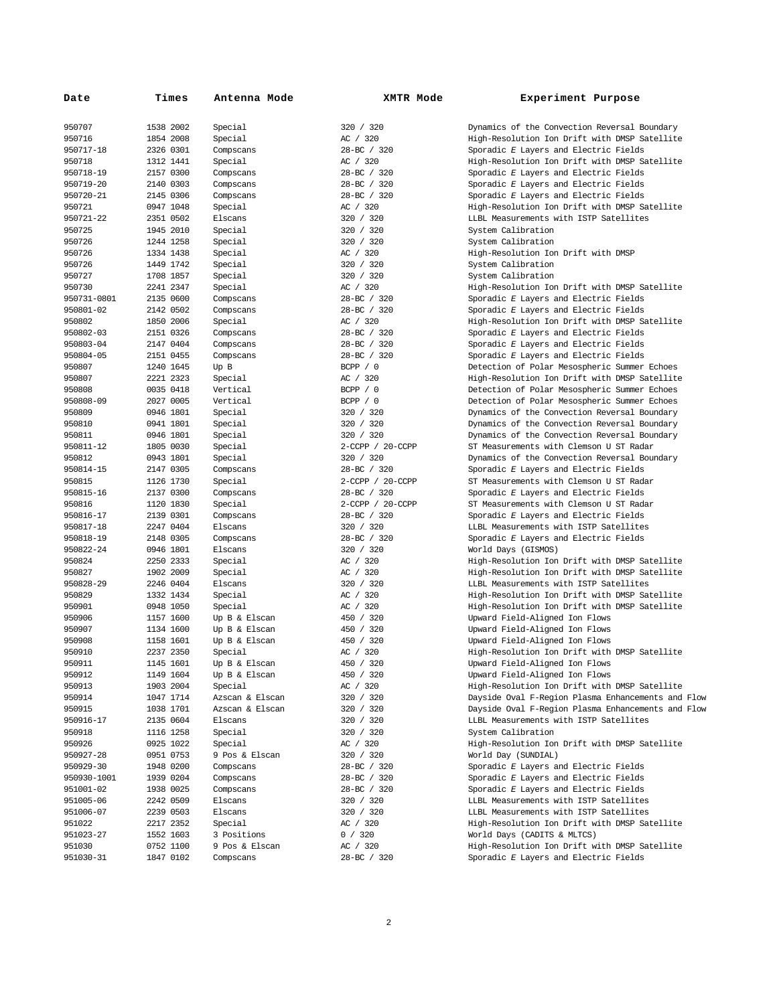| Date             | Times                  | Antenna Mode                   | <b>XMTR Mode</b>       | Experiment Purpose                                               |
|------------------|------------------------|--------------------------------|------------------------|------------------------------------------------------------------|
| 950707           | 1538 2002              | Special                        | 320 / 320              | Dynamics of the Convection Reversal Boundary                     |
| 950716           | 1854 2008              | Special                        | AC / 320               | High-Resolution Ion Drift with DMSP Satellite                    |
| 950717-18        | 2326 0301              | Compscans                      | 28-BC / 320            | Sporadic E Layers and Electric Fields                            |
| 950718           | 1312 1441              | Special                        | AC / 320               | High-Resolution Ion Drift with DMSP Satellite                    |
| 950718-19        | 2157 0300              | Compscans                      | 28-BC / 320            | Sporadic E Layers and Electric Fields                            |
| 950719-20        | 2140 0303              | Compscans                      | 28-BC / 320            | Sporadic E Layers and Electric Fields                            |
| 950720-21        | 2145 0306              | Compscans                      | 28-BC / 320            | Sporadic E Layers and Electric Fields                            |
| 950721           | 0947 1048              | Special                        | AC / 320               | High-Resolution Ion Drift with DMSP Satellite                    |
| 950721-22        | 2351 0502              | Elscans                        | 320 / 320              | LLBL Measurements with ISTP Satellites                           |
| 950725           | 1945 2010              | Special                        | 320 / 320              | System Calibration                                               |
| 950726           | 1244 1258              | Special                        | 320 / 320              | System Calibration                                               |
| 950726           | 1334 1438              | Special                        | AC / 320               | High-Resolution Ion Drift with DMSP                              |
| 950726           | 1449 1742              | Special                        | 320 / 320              | System Calibration                                               |
| 950727           | 1708 1857              | Special                        | 320 / 320              | System Calibration                                               |
| 950730           | 2241 2347              | Special                        | AC / 320               | High-Resolution Ion Drift with DMSP Satellite                    |
| 950731-0801      | 2135 0600              | Compscans                      | 28-BC / 320            | Sporadic E Layers and Electric Fields                            |
| 950801-02        | 2142 0502              | Compscans                      | 28-BC / 320            | Sporadic E Layers and Electric Fields                            |
| 950802           | 1850 2006              | Special                        | AC / 320               | High-Resolution Ion Drift with DMSP Satellite                    |
| 950802-03        | 2151 0326              | Compscans                      | 28-BC / 320            | Sporadic E Layers and Electric Fields                            |
| 950803-04        | 2147 0404              | Compscans                      | 28-BC / 320            | Sporadic E Layers and Electric Fields                            |
| 950804-05        | 2151 0455              | Compscans                      | 28-BC / 320            | Sporadic E Layers and Electric Fields                            |
| 950807           | 1240 1645              | Up B                           | BCPP / 0               | Detection of Polar Mesospheric Summer Echoes                     |
| 950807           | 2221 2323              | Special                        | AC / 320               | High-Resolution Ion Drift with DMSP Satellite                    |
| 950808           | 0035 0418              | Vertical                       | BCPP / 0               | Detection of Polar Mesospheric Summer Echoes                     |
| 950808-09        | 2027 0005              | Vertical                       | BCPP / 0               | Detection of Polar Mesospheric Summer Echoes                     |
| 950809           | 0946 1801              | Special                        | 320 / 320              | Dynamics of the Convection Reversal Boundary                     |
| 950810           | 0941 1801              | Special                        | 320 / 320              | Dynamics of the Convection Reversal Boundary                     |
| 950811           | 0946 1801              | Special                        | 320 / 320              | Dynamics of the Convection Reversal Boundary                     |
| 950811-12        | 1805 0030              | Special                        | 2-CCPP / 20-CCPP       | ST Measurements with Clemson U ST Radar                          |
| 950812           | 0943 1801              | Special                        | 320 / 320              | Dynamics of the Convection Reversal Boundary                     |
| 950814-15        | 2147 0305              | Compscans                      | 28-BC / 320            | Sporadic E Layers and Electric Fields                            |
| 950815           | 1126 1730              | Special                        | 2-CCPP / 20-CCPP       | ST Measurements with Clemson U ST Radar                          |
| 950815-16        | 2137 0300              | Compscans                      | 28-BC / 320            | Sporadic E Layers and Electric Fields                            |
| 950816           | 1120 1830              | Special                        | 2-CCPP / 20-CCPP       | ST Measurements with Clemson U ST Radar                          |
| 950816-17        | 2139 0301              | Compscans                      | 28-BC / 320            | Sporadic E Layers and Electric Fields                            |
| 950817-18        | 2247 0404              | Elscans                        | 320 / 320              | LLBL Measurements with ISTP Satellites                           |
| 950818-19        | 2148 0305              | Compscans                      | 28-BC / 320            | Sporadic E Layers and Electric Fields                            |
| 950822-24        | 0946 1801              | Elscans                        | 320 / 320              | World Days (GISMOS)                                              |
| 950824           | 2250 2333              | Special                        | AC / 320               | High-Resolution Ion Drift with DMSP Satellite                    |
| 950827           | 1902 2009              | Special                        | AC / 320               | High-Resolution Ion Drift with DMSP Satellite                    |
| 950828-29        | 2246 0404              | Elscans                        | 320 / 320              | LLBL Measurements with ISTP Satellites                           |
| 950829           | 1332 1434              | Special                        | AC / 320               | High-Resolution Ion Drift with DMSP Satellite                    |
| 950901<br>950906 | 0948 1050<br>1157 1600 | Special                        | AC / 320               | High-Resolution Ion Drift with DMSP Satellite                    |
| 950907           | 1134 1600              | Up B & Elscan<br>Up B & Elscan | 450 / 320<br>450 / 320 | Upward Field-Aligned Ion Flows<br>Upward Field-Aligned Ion Flows |
| 950908           |                        | Up B & Elscan                  |                        | Upward Field-Aligned Ion Flows                                   |
|                  | 1158 1601              |                                | 450 / 320              |                                                                  |
| 950910           | 2237 2350              | Special                        | AC / 320               | High-Resolution Ion Drift with DMSP Satellite                    |
| 950911<br>950912 | 1145 1601<br>1149 1604 | Up B & Elscan<br>Up B & Elscan | 450 / 320<br>450 / 320 | Upward Field-Aligned Ion Flows<br>Upward Field-Aligned Ion Flows |
| 950913           | 1903 2004              | Special                        | AC / 320               | High-Resolution Ion Drift with DMSP Satellite                    |
| 950914           | 1047 1714              | Azscan & Elscan                | 320 / 320              | Dayside Oval F-Region Plasma Enhancements and Flow               |
| 950915           | 1038 1701              | Azscan & Elscan                | 320 / 320              | Dayside Oval F-Region Plasma Enhancements and Flow               |
| 950916-17        | 2135 0604              | Elscans                        | 320 / 320              | LLBL Measurements with ISTP Satellites                           |
| 950918           | 1116 1258              | Special                        | 320 / 320              | System Calibration                                               |
| 950926           | 0925 1022              | Special                        | AC / 320               | High-Resolution Ion Drift with DMSP Satellite                    |
| 950927-28        | 0951 0753              | 9 Pos & Elscan                 | 320 / 320              | World Day (SUNDIAL)                                              |
| 950929-30        | 1948 0200              | Compscans                      | 28-BC / 320            | Sporadic E Layers and Electric Fields                            |
| 950930-1001      | 1939 0204              | Compscans                      | 28-BC / 320            | Sporadic E Layers and Electric Fields                            |
| 951001-02        | 1938 0025              | Compscans                      | 28-BC / 320            | Sporadic E Layers and Electric Fields                            |
| 951005-06        | 2242 0509              | Elscans                        | 320 / 320              | LLBL Measurements with ISTP Satellites                           |
| 951006-07        | 2239 0503              | Elscans                        | 320 / 320              | LLBL Measurements with ISTP Satellites                           |
| 951022           | 2217 2352              | Special                        | AC / 320               | High-Resolution Ion Drift with DMSP Satellite                    |
| 951023-27        | 1552 1603              | 3 Positions                    | 0 / 320                | World Days (CADITS & MLTCS)                                      |
| 951030           | 0752 1100              | 9 Pos & Elscan                 | AC / 320               | High-Resolution Ion Drift with DMSP Satellite                    |
| 951030-31        | 1847 0102              | Compscans                      | 28-BC / 320            | Sporadic E Layers and Electric Fields                            |
|                  |                        |                                |                        |                                                                  |